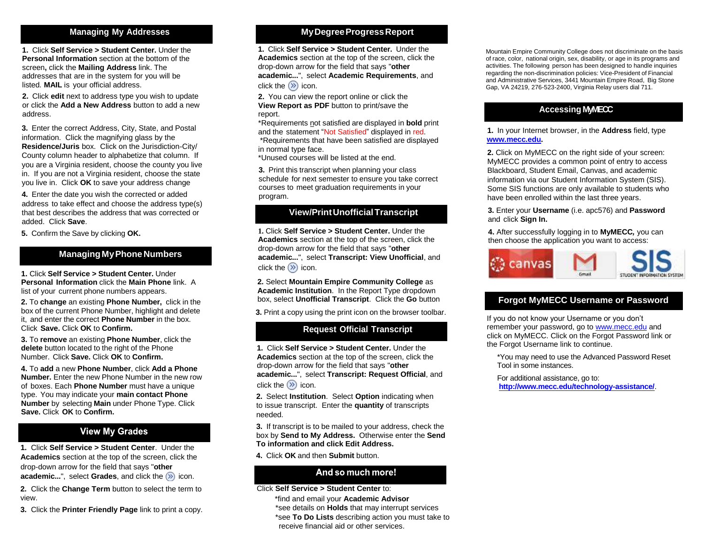**1.** Click **Self Service > Student Center.** Under the **Personal Information** section at the bottom of the screen**,** click the **Mailing Address** link. The addresses that are in the system for you will be listed. **MAIL** is your official address.

**2.** Click **edit** next to address type you wish to update or click the **Add a New Address** button to add a new address.

**3.** Enter the correct Address, City, State, and Postal information. Click the magnifying glass by the **Residence/Juris** box. Click on the Jurisdiction-City/ County column header to alphabetize that column. If you are a Virginia resident, choose the county you live in. If you are not a Virginia resident, choose the state you live in. Click **OK** to save your address change

**4.** Enter the date you wish the corrected or added address to take effect and choose the address type(s) that best describes the address that was corrected or added. Click **Save**.

**5.** Confirm the Save by clicking **OK.**

## **ManagingMyPhone Numbers**

**1.** Click **Self Service > Student Center.** Under **Personal Information** click the **Main Phone** link. A list of your current phone numbers appears.

**2.** To **change** an existing **Phone Number,** click in the box of the current Phone Number, highlight and delete it, and enter the correct **Phone Number** in the box. Click **Save.** Click **OK** to **Confirm.**

**3.** To **remove** an existing **Phone Number**, click the **delete** button located to the right of the Phone Number. Click **Save.** Click **OK** to **Confirm.**

**4.** To **add** a new **Phone Number**, click **Add a Phone Number.** Enter the new Phone Number in the new row of boxes. Each **Phone Number** must have a unique type. You may indicate your **main contact Phone Number** by selecting **Main** under Phone Type. Click **Save.** Click **OK** to **Confirm.**

# **View My Grades**

**Academics** section at the top of the screen, click the drop-down arrow for the field that says "**other academic...**", select **Grades**, and click the  $\gg$  icon. **1.** Click **Self Service > Student Center**. Under the

**2.** Click the **Change Term** button to select the term to view.

**3.** Click the **Printer Friendly Page** link to print a copy.

# **Managing My Addresses MyDegreeProgressReport**

**1.** Click **Self Service > Student Center.** Under the **Academics** section at the top of the screen, click the drop-down arrow for the field that says "**other academic...**", select **Academic Requirements**, and click the  $\circledR$  icon.

**2.** You can view the report online or click the **View Report as PDF** button to print/save the report.

\*Requirements not satisfied are displayed in **bold** print and the statement "Not Satisfied" displayed in red. \*Requirements that have been satisfied are displayed in normal type face.

\*Unused courses will be listed at the end.

**3.** Print this transcript when planning your class schedule for next semester to ensure you take correct courses to meet graduation requirements in your program.

## **View/PrintUnofficialTranscript**

**1.** Click **Self Service > Student Center.** Under the **Academics** section at the top of the screen, click the drop-down arrow for the field that says "**other academic...**", select **Transcript: View Unofficial**, and click the  $\circledR$  icon.

**2.** Select **Mountain Empire Community College** as **Academic Institution**. In the Report Type dropdown box, select **Unofficial Transcript**. Click the **Go** button

**3.** Print a copy using the print icon on the browser toolbar.

# **Request Official Transcript**

**1.** Click **Self Service > Student Center.** Under the **Academics** section at the top of the screen, click the drop-down arrow for the field that says "**other academic...**", select **Transcript: Request Official**, and click the  $\circledR$  icon.

**2.** Select **Institution**. Select **Option** indicating when to issue transcript. Enter the **quantity** of transcripts needed.

**3.** If transcript is to be mailed to your address, check the box by **Send to My Address.** Otherwise enter the **Send To information and click Edit Address.**

**4.** Click **OK** and then **Submit** button.

## And so much more!

#### Click **Self Service > Student Center** to:

\*find and email your **Academic Advisor** \*see details on **Holds** that may interrupt services \*see **To Do Lists** describing action you must take to receive financial aid or other services.

Mountain Empire Community College does not discriminate on the basis of race, color, national origin, sex, disability, or age in its programs and activities. The following person has been designed to handle inquiries regarding the non-discrimination policies: Vice-President of Financial and Administrative Services, 3441 Mountain Empire Road, Big Stone Gap, VA 24219, 276-523-2400, Virginia Relay users dial 711.

# **Accessing MyMECC**

**1.** In your Internet browser, in the **Address** field, type **[www.mecc.edu.](http://www.mecc.edu/)**

**2.** Click on MyMECC on the right side of your screen: MyMECC provides a common point of entry to access Blackboard, Student Email, Canvas, and academic information via our Student Information System (SIS). Some SIS functions are only available to students who have been enrolled within the last three years.

**3.** Enter your **Username** (i.e. apc576) and **Password** and click **Sign In.**

**4.** After successfully logging in to **MyMECC***,* you can then choose the application you want to access:



# **Forgot MyMECC Username or Password**

If you do not know your Username or you don't remember your password, go t[o www.mecc.edu](http://www.mecc.edu/) and click on MyMECC. Click on the Forgot Password link or the Forgot Username link to continue.

\*You may need to use the Advanced Password Reset Tool in some instances.

For additional assistance, go to: **http://www.mecc.edu/technology-assistance/**.